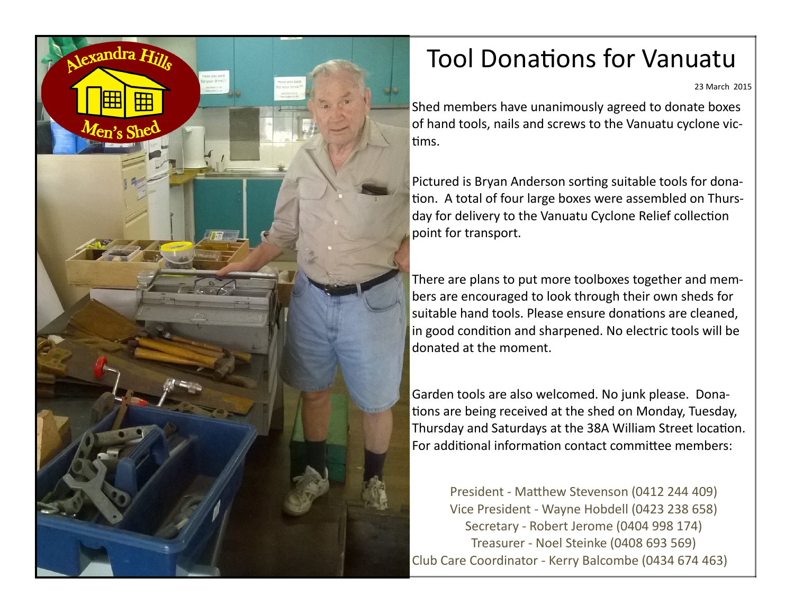

## Tool Donations for Vanuatu

23 March 2015

Shed members have unanimously agreed to donate boxes of hand tools, nails and screws to the Vanuatu cyclone victims.

Pictured is Bryan Anderson sorting suitable tools for donation. A total of four large boxes were assembled on Thursday for delivery to the Vanuatu Cyclone Relief collection point for transport.

There are plans to put more toolboxes together and members are encouraged to look through their own sheds for suitable hand tools. Please ensure donations are cleaned, in good condition and sharpened. No electric tools will be donated at the moment.

Garden tools are also welcomed. No junk please. Donations are being received at the shed on Monday, Tuesday, Thursday and Saturdays at the 38A William Street location. For additional information contact committee members:

President - Matthew Stevenson (0412 244 409) Vice President - Wayne Hobdell (0423 238 658) Secretary - Robert Jerome (0404 998 174) Treasurer - Noel Steinke (0408 693 569) Club Care Coordinator - Kerry Balcombe (0434 674 463)